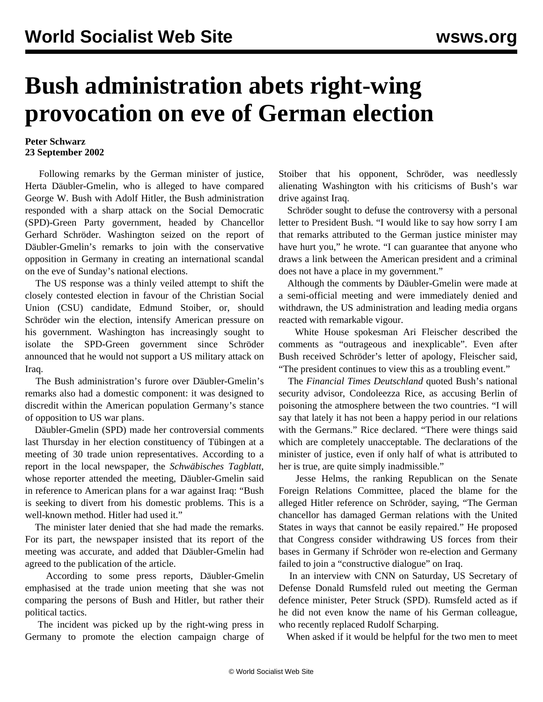## **Bush administration abets right-wing provocation on eve of German election**

## **Peter Schwarz 23 September 2002**

 Following remarks by the German minister of justice, Herta Däubler-Gmelin, who is alleged to have compared George W. Bush with Adolf Hitler, the Bush administration responded with a sharp attack on the Social Democratic (SPD)-Green Party government, headed by Chancellor Gerhard Schröder. Washington seized on the report of Däubler-Gmelin's remarks to join with the conservative opposition in Germany in creating an international scandal on the eve of Sunday's national elections.

 The US response was a thinly veiled attempt to shift the closely contested election in favour of the Christian Social Union (CSU) candidate, Edmund Stoiber, or, should Schröder win the election, intensify American pressure on his government. Washington has increasingly sought to isolate the SPD-Green government since Schröder announced that he would not support a US military attack on Iraq.

 The Bush administration's furore over Däubler-Gmelin's remarks also had a domestic component: it was designed to discredit within the American population Germany's stance of opposition to US war plans.

 Däubler-Gmelin (SPD) made her controversial comments last Thursday in her election constituency of Tübingen at a meeting of 30 trade union representatives. According to a report in the local newspaper, the *Schwäbisches Tagblatt*, whose reporter attended the meeting, Däubler-Gmelin said in reference to American plans for a war against Iraq: "Bush is seeking to divert from his domestic problems. This is a well-known method. Hitler had used it."

 The minister later denied that she had made the remarks. For its part, the newspaper insisted that its report of the meeting was accurate, and added that Däubler-Gmelin had agreed to the publication of the article.

 According to some press reports, Däubler-Gmelin emphasised at the trade union meeting that she was not comparing the persons of Bush and Hitler, but rather their political tactics.

 The incident was picked up by the right-wing press in Germany to promote the election campaign charge of Stoiber that his opponent, Schröder, was needlessly alienating Washington with his criticisms of Bush's war drive against Iraq.

 Schröder sought to defuse the controversy with a personal letter to President Bush. "I would like to say how sorry I am that remarks attributed to the German justice minister may have hurt you," he wrote. "I can guarantee that anyone who draws a link between the American president and a criminal does not have a place in my government."

 Although the comments by Däubler-Gmelin were made at a semi-official meeting and were immediately denied and withdrawn, the US administration and leading media organs reacted with remarkable vigour.

 White House spokesman Ari Fleischer described the comments as "outrageous and inexplicable". Even after Bush received Schröder's letter of apology, Fleischer said, "The president continues to view this as a troubling event."

 The *Financial Times Deutschland* quoted Bush's national security advisor, Condoleezza Rice, as accusing Berlin of poisoning the atmosphere between the two countries. "I will say that lately it has not been a happy period in our relations with the Germans." Rice declared. "There were things said which are completely unacceptable. The declarations of the minister of justice, even if only half of what is attributed to her is true, are quite simply inadmissible."

 Jesse Helms, the ranking Republican on the Senate Foreign Relations Committee, placed the blame for the alleged Hitler reference on Schröder, saying, "The German chancellor has damaged German relations with the United States in ways that cannot be easily repaired." He proposed that Congress consider withdrawing US forces from their bases in Germany if Schröder won re-election and Germany failed to join a "constructive dialogue" on Iraq.

 In an interview with CNN on Saturday, US Secretary of Defense Donald Rumsfeld ruled out meeting the German defence minister, Peter Struck (SPD). Rumsfeld acted as if he did not even know the name of his German colleague, who recently replaced Rudolf Scharping.

When asked if it would be helpful for the two men to meet